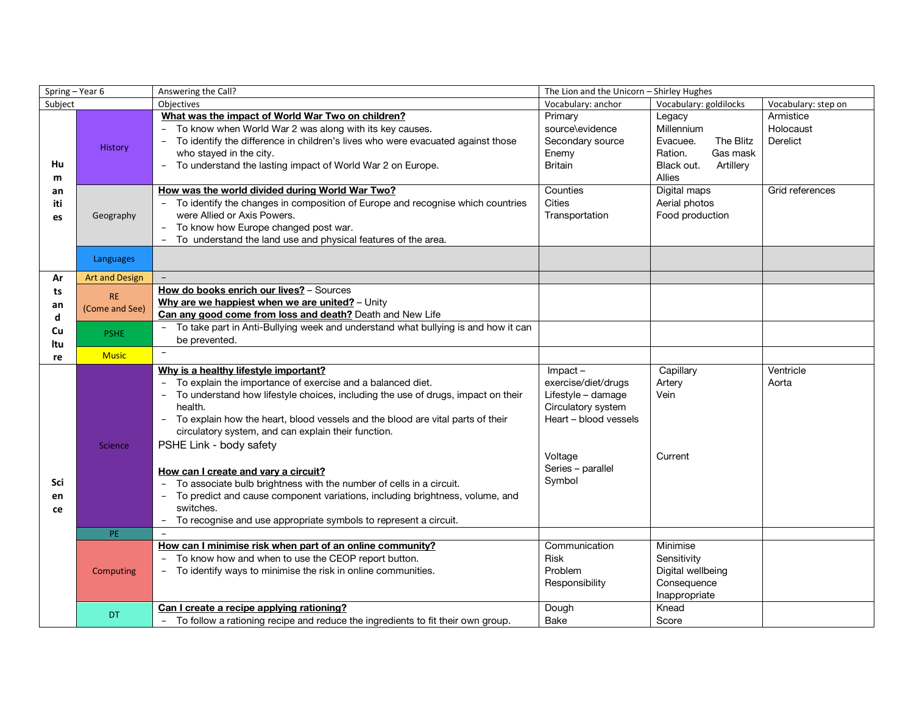| Spring - Year 6            |                       | Answering the Call?                                                                                                                                                                                                                                                                                                                                                                                                                                                                                                                                                                                                                                                                  |                                                                                                                                                     | The Lion and the Unicorn - Shirley Hughes                                                                                 |                                                       |  |
|----------------------------|-----------------------|--------------------------------------------------------------------------------------------------------------------------------------------------------------------------------------------------------------------------------------------------------------------------------------------------------------------------------------------------------------------------------------------------------------------------------------------------------------------------------------------------------------------------------------------------------------------------------------------------------------------------------------------------------------------------------------|-----------------------------------------------------------------------------------------------------------------------------------------------------|---------------------------------------------------------------------------------------------------------------------------|-------------------------------------------------------|--|
| Subject                    |                       | Objectives                                                                                                                                                                                                                                                                                                                                                                                                                                                                                                                                                                                                                                                                           | Vocabulary: anchor                                                                                                                                  | Vocabulary: goldilocks                                                                                                    | Vocabulary: step on                                   |  |
| Hu<br>m<br>an<br>iti<br>es | <b>History</b>        | What was the impact of World War Two on children?<br>- To know when World War 2 was along with its key causes.<br>To identify the difference in children's lives who were evacuated against those<br>who stayed in the city.<br>- To understand the lasting impact of World War 2 on Europe.<br>How was the world divided during World War Two?                                                                                                                                                                                                                                                                                                                                      | Primary<br>source\evidence<br>Secondary source<br>Enemy<br><b>Britain</b><br>Counties                                                               | Legacy<br>Millennium<br>The Blitz<br>Evacuee.<br>Gas mask<br>Ration.<br>Artillery<br>Black out.<br>Allies<br>Digital maps | Armistice<br>Holocaust<br>Derelict<br>Grid references |  |
|                            | Geography             | - To identify the changes in composition of Europe and recognise which countries<br>were Allied or Axis Powers.<br>To know how Europe changed post war.<br>- To understand the land use and physical features of the area.                                                                                                                                                                                                                                                                                                                                                                                                                                                           | <b>Cities</b><br>Transportation                                                                                                                     | Aerial photos<br>Food production                                                                                          |                                                       |  |
|                            | Languages             |                                                                                                                                                                                                                                                                                                                                                                                                                                                                                                                                                                                                                                                                                      |                                                                                                                                                     |                                                                                                                           |                                                       |  |
| Ar                         | <b>Art and Design</b> | $\overline{\phantom{0}}$                                                                                                                                                                                                                                                                                                                                                                                                                                                                                                                                                                                                                                                             |                                                                                                                                                     |                                                                                                                           |                                                       |  |
| ts                         | <b>RE</b>             | How do books enrich our lives? - Sources                                                                                                                                                                                                                                                                                                                                                                                                                                                                                                                                                                                                                                             |                                                                                                                                                     |                                                                                                                           |                                                       |  |
| an                         | (Come and See)        | Why are we happiest when we are united? - Unity<br>Can any good come from loss and death? Death and New Life                                                                                                                                                                                                                                                                                                                                                                                                                                                                                                                                                                         |                                                                                                                                                     |                                                                                                                           |                                                       |  |
| d<br>Cu<br>ltu             | <b>PSHE</b>           | To take part in Anti-Bullying week and understand what bullying is and how it can<br>be prevented.                                                                                                                                                                                                                                                                                                                                                                                                                                                                                                                                                                                   |                                                                                                                                                     |                                                                                                                           |                                                       |  |
| re                         | <b>Music</b>          | $\equiv$                                                                                                                                                                                                                                                                                                                                                                                                                                                                                                                                                                                                                                                                             |                                                                                                                                                     |                                                                                                                           |                                                       |  |
| Sci<br>en<br>ce            | Science               | Why is a healthy lifestyle important?<br>To explain the importance of exercise and a balanced diet.<br>To understand how lifestyle choices, including the use of drugs, impact on their<br>health.<br>- To explain how the heart, blood vessels and the blood are vital parts of their<br>circulatory system, and can explain their function.<br>PSHE Link - body safety<br>How can I create and vary a circuit?<br>To associate bulb brightness with the number of cells in a circuit.<br>To predict and cause component variations, including brightness, volume, and<br>$\overline{\phantom{a}}$<br>switches.<br>To recognise and use appropriate symbols to represent a circuit. | $Im$ pact $-$<br>exercise/diet/drugs<br>Lifestyle - damage<br>Circulatory system<br>Heart - blood vessels<br>Voltage<br>Series - parallel<br>Symbol | Capillary<br>Artery<br>Vein<br>Current                                                                                    | Ventricle<br>Aorta                                    |  |
|                            | PE                    |                                                                                                                                                                                                                                                                                                                                                                                                                                                                                                                                                                                                                                                                                      |                                                                                                                                                     |                                                                                                                           |                                                       |  |
|                            | Computing             | How can I minimise risk when part of an online community?<br>- To know how and when to use the CEOP report button.<br>To identify ways to minimise the risk in online communities.<br>Can I create a recipe applying rationing?                                                                                                                                                                                                                                                                                                                                                                                                                                                      | Communication<br><b>Risk</b><br>Problem<br>Responsibility<br>Dough                                                                                  | Minimise<br>Sensitivity<br>Digital wellbeing<br>Consequence<br>Inappropriate<br>Knead                                     |                                                       |  |
|                            | <b>DT</b>             | To follow a rationing recipe and reduce the ingredients to fit their own group.                                                                                                                                                                                                                                                                                                                                                                                                                                                                                                                                                                                                      | Bake                                                                                                                                                | Score                                                                                                                     |                                                       |  |